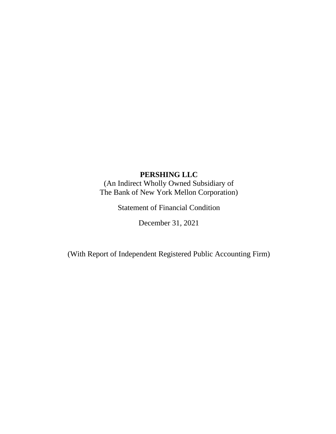(An Indirect Wholly Owned Subsidiary of The Bank of New York Mellon Corporation)

Statement of Financial Condition

December 31, 2021

(With Report of Independent Registered Public Accounting Firm)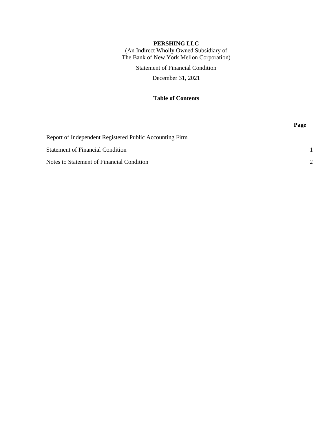(An Indirect Wholly Owned Subsidiary of The Bank of New York Mellon Corporation)

Statement of Financial Condition

December 31, 2021

## **Table of Contents**

|                                                         | Page          |
|---------------------------------------------------------|---------------|
| Report of Independent Registered Public Accounting Firm |               |
| <b>Statement of Financial Condition</b>                 |               |
| Notes to Statement of Financial Condition               | $\mathcal{P}$ |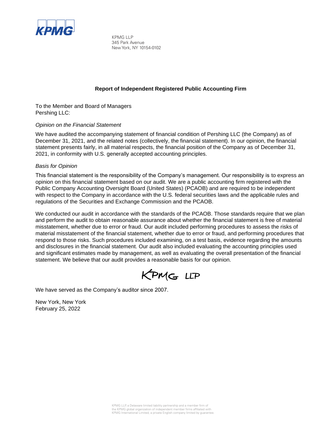

KPMG LLP 345 Park Avenue New York, NY 10154-0102

### **Report of Independent Registered Public Accounting Firm**

To the Member and Board of Managers Pershing LLC:

### *Opinion on the Financial Statement*

We have audited the accompanying statement of financial condition of Pershing LLC (the Company) as of December 31, 2021, and the related notes (collectively, the financial statement). In our opinion, the financial statement presents fairly, in all material respects, the financial position of the Company as of December 31, 2021, in conformity with U.S. generally accepted accounting principles.

### *Basis for Opinion*

This financial statement is the responsibility of the Company's management. Our responsibility is to express an opinion on this financial statement based on our audit. We are a public accounting firm registered with the Public Company Accounting Oversight Board (United States) (PCAOB) and are required to be independent with respect to the Company in accordance with the U.S. federal securities laws and the applicable rules and regulations of the Securities and Exchange Commission and the PCAOB.

We conducted our audit in accordance with the standards of the PCAOB. Those standards require that we plan and perform the audit to obtain reasonable assurance about whether the financial statement is free of material misstatement, whether due to error or fraud. Our audit included performing procedures to assess the risks of material misstatement of the financial statement, whether due to error or fraud, and performing procedures that respond to those risks. Such procedures included examining, on a test basis, evidence regarding the amounts and disclosures in the financial statement. Our audit also included evaluating the accounting principles used and significant estimates made by management, as well as evaluating the overall presentation of the financial statement. We believe that our audit provides a reasonable basis for our opinion.

KPMG LLP

We have served as the Company's auditor since 2007.

New York, New York February 25, 2022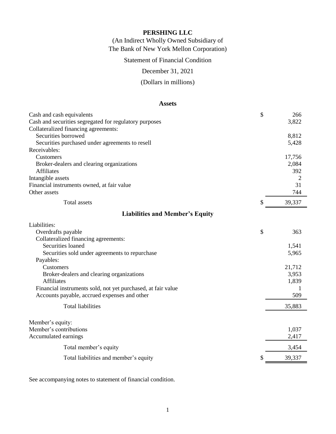(An Indirect Wholly Owned Subsidiary of The Bank of New York Mellon Corporation)

Statement of Financial Condition

December 31, 2021

(Dollars in millions)

### **Assets**

| Cash and cash equivalents                                    | \$<br>266    |
|--------------------------------------------------------------|--------------|
| Cash and securities segregated for regulatory purposes       | 3,822        |
| Collateralized financing agreements:                         |              |
| Securities borrowed                                          | 8,812        |
| Securities purchased under agreements to resell              | 5,428        |
| Receivables:                                                 |              |
| Customers                                                    | 17,756       |
| Broker-dealers and clearing organizations                    | 2,084        |
| <b>Affiliates</b>                                            | 392          |
| Intangible assets                                            | 2            |
| Financial instruments owned, at fair value                   | 31           |
| Other assets                                                 | 744          |
| <b>Total assets</b>                                          | \$<br>39,337 |
| <b>Liabilities and Member's Equity</b>                       |              |
| Liabilities:                                                 |              |
| Overdrafts payable                                           | \$<br>363    |
| Collateralized financing agreements:                         |              |
| Securities loaned                                            | 1,541        |
| Securities sold under agreements to repurchase               | 5,965        |
| Payables:                                                    |              |
| Customers                                                    | 21,712       |
| Broker-dealers and clearing organizations                    | 3,953        |
| <b>Affiliates</b>                                            | 1,839        |
| Financial instruments sold, not yet purchased, at fair value | 1            |
| Accounts payable, accrued expenses and other                 | 509          |
| <b>Total liabilities</b>                                     | 35,883       |
|                                                              |              |
| Member's equity:                                             |              |
| Member's contributions                                       | 1,037        |
| Accumulated earnings                                         | 2,417        |
| Total member's equity                                        | 3,454        |
| Total liabilities and member's equity                        | \$<br>39,337 |

See accompanying notes to statement of financial condition.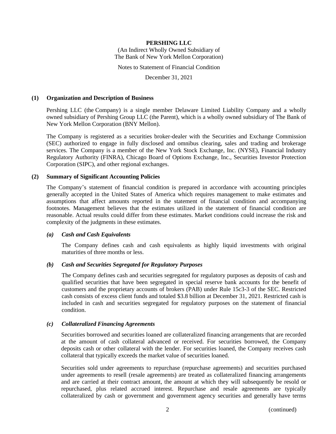(An Indirect Wholly Owned Subsidiary of The Bank of New York Mellon Corporation)

Notes to Statement of Financial Condition

December 31, 2021

### **(1) Organization and Description of Business**

Pershing LLC (the Company) is a single member Delaware Limited Liability Company and a wholly owned subsidiary of Pershing Group LLC (the Parent), which is a wholly owned subsidiary of The Bank of New York Mellon Corporation (BNY Mellon).

The Company is registered as a securities broker-dealer with the Securities and Exchange Commission (SEC) authorized to engage in fully disclosed and omnibus clearing, sales and trading and brokerage services. The Company is a member of the New York Stock Exchange, Inc. (NYSE), Financial Industry Regulatory Authority (FINRA), Chicago Board of Options Exchange, Inc., Securities Investor Protection Corporation (SIPC), and other regional exchanges.

### **(2) Summary of Significant Accounting Policies**

The Company's statement of financial condition is prepared in accordance with accounting principles generally accepted in the United States of America which requires management to make estimates and assumptions that affect amounts reported in the statement of financial condition and accompanying footnotes. Management believes that the estimates utilized in the statement of financial condition are reasonable. Actual results could differ from these estimates. Market conditions could increase the risk and complexity of the judgments in these estimates.

### *(a) Cash and Cash Equivalents*

The Company defines cash and cash equivalents as highly liquid investments with original maturities of three months or less.

### *(b) Cash and Securities Segregated for Regulatory Purposes*

The Company defines cash and securities segregated for regulatory purposes as deposits of cash and qualified securities that have been segregated in special reserve bank accounts for the benefit of customers and the proprietary accounts of brokers (PAB) under Rule 15c3-3 of the SEC. Restricted cash consists of excess client funds and totaled \$3.8 billion at December 31, 2021. Restricted cash is included in cash and securities segregated for regulatory purposes on the statement of financial condition.

### *(c) Collateralized Financing Agreements*

Securities borrowed and securities loaned are collateralized financing arrangements that are recorded at the amount of cash collateral advanced or received. For securities borrowed, the Company deposits cash or other collateral with the lender. For securities loaned, the Company receives cash collateral that typically exceeds the market value of securities loaned.

Securities sold under agreements to repurchase (repurchase agreements) and securities purchased under agreements to resell (resale agreements) are treated as collateralized financing arrangements and are carried at their contract amount, the amount at which they will subsequently be resold or repurchased, plus related accrued interest. Repurchase and resale agreements are typically collateralized by cash or government and government agency securities and generally have terms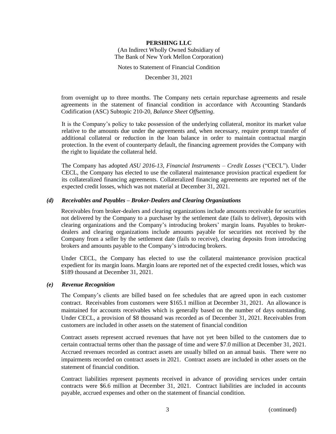### **PERSHING LLC** (An Indirect Wholly Owned Subsidiary of The Bank of New York Mellon Corporation)

Notes to Statement of Financial Condition

December 31, 2021

from overnight up to three months. The Company nets certain repurchase agreements and resale agreements in the statement of financial condition in accordance with Accounting Standards Codification (ASC) Subtopic 210-20, *Balance Sheet Offsetting*.

It is the Company's policy to take possession of the underlying collateral, monitor its market value relative to the amounts due under the agreements and, when necessary, require prompt transfer of additional collateral or reduction in the loan balance in order to maintain contractual margin protection. In the event of counterparty default, the financing agreement provides the Company with the right to liquidate the collateral held.

The Company has adopted *ASU 2016-13, Financial Instruments – Credit Losses* ("CECL"). Under CECL, the Company has elected to use the collateral maintenance provision practical expedient for its collateralized financing agreements. Collateralized financing agreements are reported net of the expected credit losses, which was not material at December 31, 2021.

### *(d) Receivables and Payables – Broker-Dealers and Clearing Organizations*

Receivables from broker-dealers and clearing organizations include amounts receivable for securities not delivered by the Company to a purchaser by the settlement date (fails to deliver), deposits with clearing organizations and the Company's introducing brokers' margin loans. Payables to brokerdealers and clearing organizations include amounts payable for securities not received by the Company from a seller by the settlement date (fails to receive), clearing deposits from introducing brokers and amounts payable to the Company's introducing brokers.

Under CECL, the Company has elected to use the collateral maintenance provision practical expedient for its margin loans. Margin loans are reported net of the expected credit losses, which was \$189 thousand at December 31, 2021.

### *(e) Revenue Recognition*

The Company's clients are billed based on fee schedules that are agreed upon in each customer contract. Receivables from customers were \$165.1 million at December 31, 2021. An allowance is maintained for accounts receivables which is generally based on the number of days outstanding. Under CECL, a provision of \$8 thousand was recorded as of December 31, 2021. Receivables from customers are included in other assets on the statement of financial condition

Contract assets represent accrued revenues that have not yet been billed to the customers due to certain contractual terms other than the passage of time and were \$7.0 million at December 31, 2021. Accrued revenues recorded as contract assets are usually billed on an annual basis. There were no impairments recorded on contract assets in 2021. Contract assets are included in other assets on the statement of financial condition.

Contract liabilities represent payments received in advance of providing services under certain contracts were \$6.6 million at December 31, 2021. Contract liabilities are included in accounts payable, accrued expenses and other on the statement of financial condition.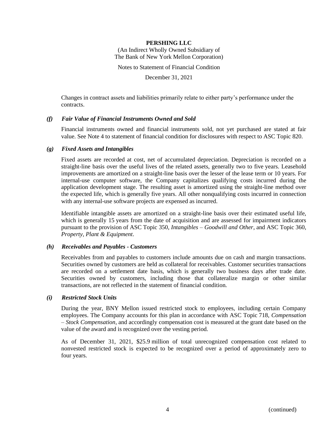(An Indirect Wholly Owned Subsidiary of The Bank of New York Mellon Corporation)

Notes to Statement of Financial Condition

December 31, 2021

Changes in contract assets and liabilities primarily relate to either party's performance under the contracts.

### *(f) Fair Value of Financial Instruments Owned and Sold*

Financial instruments owned and financial instruments sold, not yet purchased are stated at fair value. See Note 4 to statement of financial condition for disclosures with respect to ASC Topic 820.

### *(g) Fixed Assets and Intangibles*

Fixed assets are recorded at cost, net of accumulated depreciation. Depreciation is recorded on a straight-line basis over the useful lives of the related assets, generally two to five years. Leasehold improvements are amortized on a straight-line basis over the lesser of the lease term or 10 years. For internal-use computer software, the Company capitalizes qualifying costs incurred during the application development stage. The resulting asset is amortized using the straight-line method over the expected life, which is generally five years. All other nonqualifying costs incurred in connection with any internal-use software projects are expensed as incurred.

Identifiable intangible assets are amortized on a straight-line basis over their estimated useful life, which is generally 15 years from the date of acquisition and are assessed for impairment indicators pursuant to the provision of ASC Topic 350, *Intangibles – Goodwill and Other*, and ASC Topic 360, *Property, Plant & Equipment*.

### *(h) Receivables and Payables - Customers*

Receivables from and payables to customers include amounts due on cash and margin transactions. Securities owned by customers are held as collateral for receivables. Customer securities transactions are recorded on a settlement date basis, which is generally two business days after trade date. Securities owned by customers, including those that collateralize margin or other similar transactions, are not reflected in the statement of financial condition.

### *(i) Restricted Stock Units*

During the year, BNY Mellon issued restricted stock to employees, including certain Company employees. The Company accounts for this plan in accordance with ASC Topic 718, *Compensation – Stock Compensation,* and accordingly compensation cost is measured at the grant date based on the value of the award and is recognized over the vesting period.

As of December 31, 2021, \$25.9 million of total unrecognized compensation cost related to nonvested restricted stock is expected to be recognized over a period of approximately zero to four years.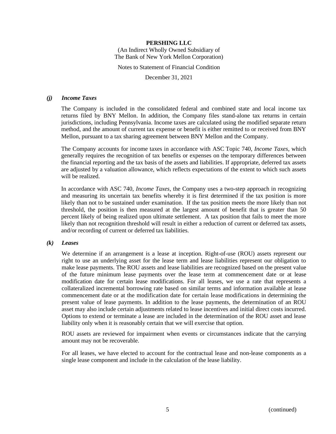(An Indirect Wholly Owned Subsidiary of The Bank of New York Mellon Corporation)

Notes to Statement of Financial Condition

December 31, 2021

### *(j) Income Taxes*

The Company is included in the consolidated federal and combined state and local income tax returns filed by BNY Mellon. In addition, the Company files stand-alone tax returns in certain jurisdictions, including Pennsylvania. Income taxes are calculated using the modified separate return method, and the amount of current tax expense or benefit is either remitted to or received from BNY Mellon, pursuant to a tax sharing agreement between BNY Mellon and the Company.

The Company accounts for income taxes in accordance with ASC Topic 740, *Income Taxes*, which generally requires the recognition of tax benefits or expenses on the temporary differences between the financial reporting and the tax basis of the assets and liabilities. If appropriate, deferred tax assets are adjusted by a valuation allowance, which reflects expectations of the extent to which such assets will be realized.

In accordance with ASC 740, *Income Taxes*, the Company uses a two-step approach in recognizing and measuring its uncertain tax benefits whereby it is first determined if the tax position is more likely than not to be sustained under examination. If the tax position meets the more likely than not threshold, the position is then measured at the largest amount of benefit that is greater than 50 percent likely of being realized upon ultimate settlement. A tax position that fails to meet the more likely than not recognition threshold will result in either a reduction of current or deferred tax assets, and/or recording of current or deferred tax liabilities.

### *(k) Leases*

We determine if an arrangement is a lease at inception. Right-of-use (ROU) assets represent our right to use an underlying asset for the lease term and lease liabilities represent our obligation to make lease payments. The ROU assets and lease liabilities are recognized based on the present value of the future minimum lease payments over the lease term at commencement date or at lease modification date for certain lease modifications. For all leases, we use a rate that represents a collateralized incremental borrowing rate based on similar terms and information available at lease commencement date or at the modification date for certain lease modifications in determining the present value of lease payments. In addition to the lease payments, the determination of an ROU asset may also include certain adjustments related to lease incentives and initial direct costs incurred. Options to extend or terminate a lease are included in the determination of the ROU asset and lease liability only when it is reasonably certain that we will exercise that option.

ROU assets are reviewed for impairment when events or circumstances indicate that the carrying amount may not be recoverable.

For all leases, we have elected to account for the contractual lease and non-lease components as a single lease component and include in the calculation of the lease liability.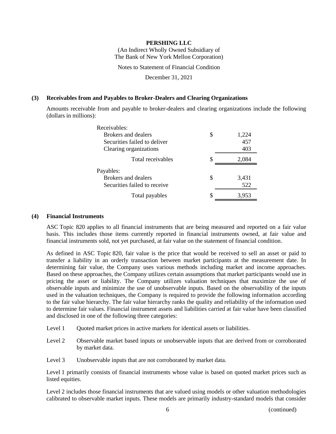(An Indirect Wholly Owned Subsidiary of The Bank of New York Mellon Corporation)

Notes to Statement of Financial Condition

December 31, 2021

### **(3) Receivables from and Payables to Broker-Dealers and Clearing Organizations**

Amounts receivable from and payable to broker-dealers and clearing organizations include the following (dollars in millions):

| Receivables:                 |   |       |
|------------------------------|---|-------|
| Brokers and dealers          | S | 1,224 |
| Securities failed to deliver |   | 457   |
| Clearing organizations       |   | 403   |
| Total receivables            | S | 2,084 |
| Payables:                    |   |       |
| Brokers and dealers          | S | 3,431 |
|                              |   |       |
| Securities failed to receive |   | 522   |

### **(4) Financial Instruments**

ASC Topic 820 applies to all financial instruments that are being measured and reported on a fair value basis. This includes those items currently reported in financial instruments owned, at fair value and financial instruments sold, not yet purchased, at fair value on the statement of financial condition.

As defined in ASC Topic 820, fair value is the price that would be received to sell an asset or paid to transfer a liability in an orderly transaction between market participants at the measurement date. In determining fair value, the Company uses various methods including market and income approaches. Based on these approaches, the Company utilizes certain assumptions that market participants would use in pricing the asset or liability. The Company utilizes valuation techniques that maximize the use of observable inputs and minimize the use of unobservable inputs. Based on the observability of the inputs used in the valuation techniques, the Company is required to provide the following information according to the fair value hierarchy. The fair value hierarchy ranks the quality and reliability of the information used to determine fair values. Financial instrument assets and liabilities carried at fair value have been classified and disclosed in one of the following three categories:

- Level 1 Ouoted market prices in active markets for identical assets or liabilities.
- Level 2 Observable market based inputs or unobservable inputs that are derived from or corroborated by market data.
- Level 3 Unobservable inputs that are not corroborated by market data.

Level 1 primarily consists of financial instruments whose value is based on quoted market prices such as listed equities.

Level 2 includes those financial instruments that are valued using models or other valuation methodologies calibrated to observable market inputs. These models are primarily industry-standard models that consider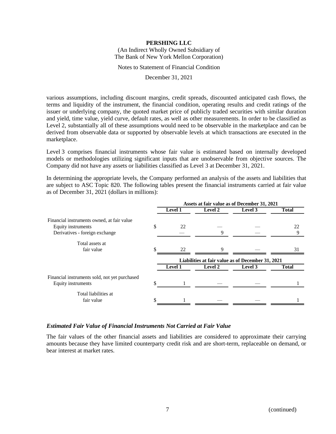(An Indirect Wholly Owned Subsidiary of The Bank of New York Mellon Corporation)

Notes to Statement of Financial Condition

December 31, 2021

various assumptions, including discount margins, credit spreads, discounted anticipated cash flows, the terms and liquidity of the instrument, the financial condition, operating results and credit ratings of the issuer or underlying company, the quoted market price of publicly traded securities with similar duration and yield, time value, yield curve, default rates, as well as other measurements. In order to be classified as Level 2, substantially all of these assumptions would need to be observable in the marketplace and can be derived from observable data or supported by observable levels at which transactions are executed in the marketplace.

Level 3 comprises financial instruments whose fair value is estimated based on internally developed models or methodologies utilizing significant inputs that are unobservable from objective sources. The Company did not have any assets or liabilities classified as Level 3 at December 31, 2021.

In determining the appropriate levels, the Company performed an analysis of the assets and liabilities that are subject to ASC Topic 820. The following tables present the financial instruments carried at fair value as of December 31, 2021 (dollars in millions):

|                                               |                                                   | Assets at fair value as of December 31, 2021 |                |         |              |
|-----------------------------------------------|---------------------------------------------------|----------------------------------------------|----------------|---------|--------------|
|                                               |                                                   | <b>Level 1</b>                               | <b>Level 2</b> | Level 3 | <b>Total</b> |
| Financial instruments owned, at fair value    |                                                   |                                              |                |         |              |
| Equity instruments                            | \$                                                | 22                                           |                |         | 22           |
| Derivatives - foreign exchange                |                                                   |                                              | 9              |         | 9            |
| Total assets at                               |                                                   |                                              |                |         |              |
| fair value                                    |                                                   | 22                                           | $\mathbf Q$    |         | 31           |
|                                               | Liabilities at fair value as of December 31, 2021 |                                              |                |         |              |
|                                               |                                                   | <b>Level 1</b>                               | Level 2        | Level 3 | <b>Total</b> |
| Financial instruments sold, not yet purchased |                                                   |                                              |                |         |              |
| Equity instruments                            |                                                   |                                              |                |         |              |
| Total liabilities at                          |                                                   |                                              |                |         |              |
| fair value                                    |                                                   |                                              |                |         |              |

### *Estimated Fair Value of Financial Instruments Not Carried at Fair Value*

The fair values of the other financial assets and liabilities are considered to approximate their carrying amounts because they have limited counterparty credit risk and are short-term, replaceable on demand, or bear interest at market rates.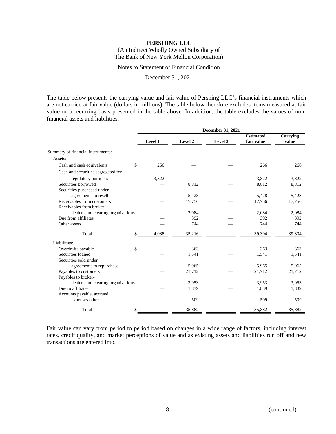(An Indirect Wholly Owned Subsidiary of The Bank of New York Mellon Corporation)

Notes to Statement of Financial Condition

December 31, 2021

The table below presents the carrying value and fair value of Pershing LLC's financial instruments which are not carried at fair value (dollars in millions). The table below therefore excludes items measured at fair value on a recurring basis presented in the table above. In addition, the table excludes the values of nonfinancial assets and liabilities.

|                                    | December 31, 2021 |         |         |                                |                   |
|------------------------------------|-------------------|---------|---------|--------------------------------|-------------------|
|                                    | Level 1           | Level 2 | Level 3 | <b>Estimated</b><br>fair value | Carrying<br>value |
| Summary of financial instruments:  |                   |         |         |                                |                   |
| Assets:                            |                   |         |         |                                |                   |
| \$<br>Cash and cash equivalents    | 266               |         |         | 266                            | 266               |
| Cash and securities segregated for |                   |         |         |                                |                   |
| regulatory purposes                | 3,822             |         |         | 3,822                          | 3,822             |
| Securities borrowed                |                   | 8.812   |         | 8,812                          | 8,812             |
| Securities purchased under         |                   |         |         |                                |                   |
| agreements to resell               |                   | 5,428   |         | 5,428                          | 5,428             |
| Receivables from customers         |                   | 17,756  |         | 17,756                         | 17,756            |
| Receivables from broker-           |                   |         |         |                                |                   |
| dealers and clearing organizations |                   | 2,084   |         | 2,084                          | 2,084             |
| Due from affiliates                |                   | 392     |         | 392                            | 392               |
| Other assets                       |                   | 744     |         | 744                            | 744               |
| Total<br>\$                        | 4,088             | 35,216  |         | 39,304                         | 39,304            |
| Liabilities:                       |                   |         |         |                                |                   |
| \$<br>Overdrafts payable           |                   | 363     |         | 363                            | 363               |
| Securities loaned                  |                   | 1,541   |         | 1,541                          | 1,541             |
| Securities sold under              |                   |         |         |                                |                   |
| agreements to repurchase           |                   | 5,965   |         | 5,965                          | 5,965             |
| Payables to customers              |                   | 21,712  |         | 21,712                         | 21,712            |
| Payables to broker-                |                   |         |         |                                |                   |
| dealers and clearing organizations |                   | 3,953   |         | 3,953                          | 3,953             |
| Due to affiliates                  |                   | 1,839   |         | 1,839                          | 1,839             |
| Accounts payable, accrued          |                   |         |         |                                |                   |
| expenses other                     |                   | 509     |         | 509                            | 509               |
| Total<br>\$                        |                   | 35,882  |         | 35,882                         | 35,882            |

Fair value can vary from period to period based on changes in a wide range of factors, including interest rates, credit quality, and market perceptions of value and as existing assets and liabilities run off and new transactions are entered into.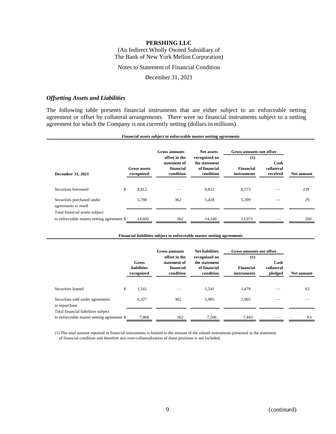(An Indirect Wholly Owned Subsidiary of The Bank of New York Mellon Corporation)

### Notes to Statement of Financial Condition

### December 31, 2021

### *Offsetting Assets and Liabilities*

The following table presents financial instruments that are either subject to an enforceable netting agreement or offset by collateral arrangements. There were no financial instruments subject to a netting agreement for which the Company is not currently netting (dollars in millions).

#### **Gross amounts Net assets December 31, 2021 Gross assets recognized offset in the statement of financial condition recognized on the statement of financial condition (1) Financial instruments Cash collateral received Net amount Gross amounts not offset**

**Financial assets subject to enforceable master netting agreements**

| Securities borrowed                                | 8.812  |     | 8.812  | 8.573  | __ | 239 |
|----------------------------------------------------|--------|-----|--------|--------|----|-----|
| Securities purchased under<br>agreements to resell | 5,790  | 362 | 5.428  | 5,399  |    | 29  |
| Total financial assets subject                     |        |     |        |        |    |     |
| to enforceable master netting agreement \$         | 14.602 | 362 | 14.240 | 13.972 |    | 268 |

### **Financial liabilities subject to enforceable master netting agreements**

|                                                                                   |    | <b>Gross amounts</b><br>offset in the     |                                        | <b>Net liabilities</b><br>recognized on    | Gross amounts not offset<br>(1) |                               |            |  |
|-----------------------------------------------------------------------------------|----|-------------------------------------------|----------------------------------------|--------------------------------------------|---------------------------------|-------------------------------|------------|--|
|                                                                                   |    | Gross<br><b>liabilities</b><br>recognized | statement of<br>financial<br>condition | the statement<br>of financial<br>condition | <b>Financial</b><br>instruments | Cash<br>collateral<br>pledged | Net amount |  |
| Securities loaned                                                                 | \$ | 1,541                                     |                                        | 1,541                                      | 1,478                           |                               | 63         |  |
| Securities sold under agreements<br>to repurchase                                 |    | 6,327                                     | 362                                    | 5,965                                      | 5,965                           |                               |            |  |
| Total financial liabilities subject<br>to enforceable master netting agreement \$ |    | 7,868                                     | 362                                    | 7.506                                      | 7.443                           |                               | 63         |  |

(1) The total amount reported in financial instruments is limited to the amount of the related instruments presented in the statement of financial condition and therefore any over-collateralization of these positions is not included.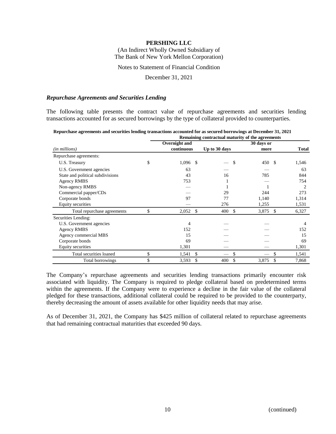(An Indirect Wholly Owned Subsidiary of The Bank of New York Mellon Corporation)

Notes to Statement of Financial Condition

December 31, 2021

### *Repurchase Agreements and Securities Lending*

The following table presents the contract value of repurchase agreements and securities lending transactions accounted for as secured borrowings by the type of collateral provided to counterparties.

|                                  |                  | Remaining contractual maturity of the agreements |            |                |
|----------------------------------|------------------|--------------------------------------------------|------------|----------------|
|                                  | Overnight and    |                                                  | 30 days or |                |
| ( <i>in millions</i> )           | continuous       | Up to 30 days                                    | more       | <b>Total</b>   |
| Repurchase agreements:           |                  |                                                  |            |                |
| U.S. Treasury                    | \$<br>$1,096$ \$ | <sup>\$</sup>                                    | 450 \$     | 1,546          |
| U.S. Government agencies         | 63               |                                                  |            | 63             |
| State and political subdivisions | 43               | 16                                               | 785        | 844            |
| Agency RMBS                      | 753              |                                                  |            | 754            |
| Non-agency RMBS                  |                  |                                                  |            | $\overline{c}$ |
| Commercial papper/CDs            |                  | 29                                               | 244        | 273            |
| Corporate bonds                  | 97               | 77                                               | 1,140      | 1,314          |
| <b>Equity securities</b>         |                  | 276                                              | 1,255      | 1,531          |
| Total repurchase agreements      | \$<br>2,052      | $\mathbf{\hat{S}}$<br>400<br>\$                  | 3,875      | -\$<br>6,327   |
| Securities Lending:              |                  |                                                  |            |                |
| U.S. Government agencies         | 4                |                                                  |            | 4              |
| <b>Agency RMBS</b>               | 152              |                                                  |            | 152            |
| Agency commercial MBS            | 15               |                                                  |            | 15             |
| Corporate bonds                  | 69               |                                                  |            | 69             |
| <b>Equity securities</b>         | 1,301            |                                                  |            | 1,301          |
| Total securities loaned          | \$<br>1,541      | \$<br>\$                                         |            | 1,541          |
| Total borrowings                 | \$<br>3,593      | \$<br>\$<br>400                                  | 3,875      | \$<br>7,868    |

The Company's repurchase agreements and securities lending transactions primarily encounter risk associated with liquidity. The Company is required to pledge collateral based on predetermined terms within the agreements. If the Company were to experience a decline in the fair value of the collateral pledged for these transactions, additional collateral could be required to be provided to the counterparty, thereby decreasing the amount of assets available for other liquidity needs that may arise.

As of December 31, 2021, the Company has \$425 million of collateral related to repurchase agreements that had remaining contractual maturities that exceeded 90 days.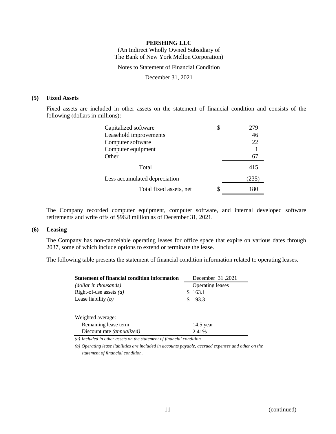(An Indirect Wholly Owned Subsidiary of The Bank of New York Mellon Corporation)

Notes to Statement of Financial Condition

December 31, 2021

### **(5) Fixed Assets**

Fixed assets are included in other assets on the statement of financial condition and consists of the following (dollars in millions):

| Capitalized software          | S  | 279   |
|-------------------------------|----|-------|
| Leasehold improvements        |    | 46    |
| Computer software             |    | 22    |
| Computer equipment            |    |       |
| Other                         |    | 67    |
| Total                         |    | 415   |
| Less accumulated depreciation |    | (235) |
| Total fixed assets, net       | \$ | 180   |

The Company recorded computer equipment, computer software, and internal developed software retirements and write offs of \$96.8 million as of December 31, 2021.

### **(6) Leasing**

The Company has non-cancelable operating leases for office space that expire on various dates through 2037, some of which include options to extend or terminate the lease.

The following table presents the statement of financial condition information related to operating leases.

| <b>Statement of financial condition information</b> | 2021, December 31       |  |  |
|-----------------------------------------------------|-------------------------|--|--|
| (dollar in thousands)                               | <b>Operating leases</b> |  |  |
| Right-of-use assets $(a)$                           | 163.1                   |  |  |
| Lease liability $(b)$                               | \$193.3                 |  |  |
| Weighted average:                                   |                         |  |  |
| Remaining lease term                                | $14.5$ year             |  |  |
| Discount rate (annualized)                          | 2.41%                   |  |  |

*(a) Included in other assets on the statement of financial condition.*

*(b) Operating lease liabilities are included in accounts payable, accrued expenses and other on the statement of financial condition.*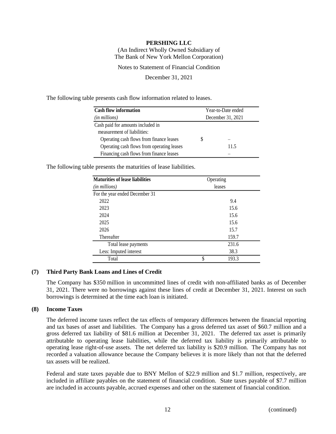(An Indirect Wholly Owned Subsidiary of The Bank of New York Mellon Corporation)

Notes to Statement of Financial Condition

December 31, 2021

The following table presents cash flow information related to leases.

| <b>Cash flow information</b>               | Year-to-Date ended |      |  |
|--------------------------------------------|--------------------|------|--|
| (in millions)                              | December 31, 2021  |      |  |
| Cash paid for amounts included in          |                    |      |  |
| measurement of liabilities:                |                    |      |  |
| Operating cash flows from finance leases   |                    |      |  |
| Operating cash flows from operating leases |                    | 11.5 |  |
| Financing cash flows from finance leases   |                    |      |  |

The following table presents the maturities of lease liabilities.

| <b>Maturities of lease liabilities</b> | Operating   |  |
|----------------------------------------|-------------|--|
| (in millions)                          | leases      |  |
| For the year ended December 31         |             |  |
| 2022                                   | 9.4         |  |
| 2023                                   | 15.6        |  |
| 2024                                   | 15.6        |  |
| 2025                                   | 15.6        |  |
| 2026                                   | 15.7        |  |
| Thereafter                             | 159.7       |  |
| Total lease payments                   | 231.6       |  |
| Less: Imputed interest                 | 38.3        |  |
| Total                                  | \$<br>193.3 |  |

### **(7) Third Party Bank Loans and Lines of Credit**

The Company has \$350 million in uncommitted lines of credit with non-affiliated banks as of December 31, 2021. There were no borrowings against these lines of credit at December 31, 2021. Interest on such borrowings is determined at the time each loan is initiated.

### **(8) Income Taxes**

The deferred income taxes reflect the tax effects of temporary differences between the financial reporting and tax bases of asset and liabilities. The Company has a gross deferred tax asset of \$60.7 million and a gross deferred tax liability of \$81.6 million at December 31, 2021. The deferred tax asset is primarily attributable to operating lease liabilities, while the deferred tax liability is primarily attributable to operating lease right-of-use assets. The net deferred tax liability is \$20.9 million. The Company has not recorded a valuation allowance because the Company believes it is more likely than not that the deferred tax assets will be realized.

Federal and state taxes payable due to BNY Mellon of \$22.9 million and \$1.7 million, respectively, are included in affiliate payables on the statement of financial condition. State taxes payable of \$7.7 million are included in accounts payable, accrued expenses and other on the statement of financial condition.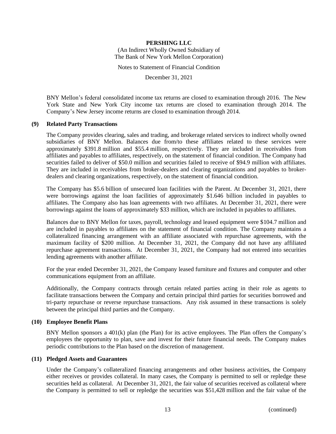(An Indirect Wholly Owned Subsidiary of The Bank of New York Mellon Corporation)

Notes to Statement of Financial Condition

December 31, 2021

BNY Mellon's federal consolidated income tax returns are closed to examination through 2016. The New York State and New York City income tax returns are closed to examination through 2014. The Company's New Jersey income returns are closed to examination through 2014.

### **(9) Related Party Transactions**

The Company provides clearing, sales and trading, and brokerage related services to indirect wholly owned subsidiaries of BNY Mellon. Balances due from/to these affiliates related to these services were approximately \$391.8 million and \$55.4 million, respectively. They are included in receivables from affiliates and payables to affiliates, respectively, on the statement of financial condition. The Company had securities failed to deliver of \$50.0 million and securities failed to receive of \$94.9 million with affiliates. They are included in receivables from broker-dealers and clearing organizations and payables to brokerdealers and clearing organizations, respectively, on the statement of financial condition.

The Company has \$5.6 billion of unsecured loan facilities with the Parent. At December 31, 2021, there were borrowings against the loan facilities of approximately \$1.646 billion included in payables to affiliates. The Company also has loan agreements with two affiliates. At December 31, 2021, there were borrowings against the loans of approximately \$33 million, which are included in payables to affiliates.

Balances due to BNY Mellon for taxes, payroll, technology and leased equipment were \$104.7 million and are included in payables to affiliates on the statement of financial condition. The Company maintains a collateralized financing arrangement with an affiliate associated with repurchase agreements, with the maximum facility of \$200 million. At December 31, 2021, the Company did not have any affiliated repurchase agreement transactions. At December 31, 2021, the Company had not entered into securities lending agreements with another affiliate.

For the year ended December 31, 2021, the Company leased furniture and fixtures and computer and other communications equipment from an affiliate.

Additionally, the Company contracts through certain related parties acting in their role as agents to facilitate transactions between the Company and certain principal third parties for securities borrowed and tri-party repurchase or reverse repurchase transactions. Any risk assumed in these transactions is solely between the principal third parties and the Company.

### **(10) Employee Benefit Plans**

BNY Mellon sponsors a 401(k) plan (the Plan) for its active employees. The Plan offers the Company's employees the opportunity to plan, save and invest for their future financial needs. The Company makes periodic contributions to the Plan based on the discretion of management.

### **(11) Pledged Assets and Guarantees**

Under the Company's collateralized financing arrangements and other business activities, the Company either receives or provides collateral. In many cases, the Company is permitted to sell or repledge these securities held as collateral. At December 31, 2021, the fair value of securities received as collateral where the Company is permitted to sell or repledge the securities was \$51,428 million and the fair value of the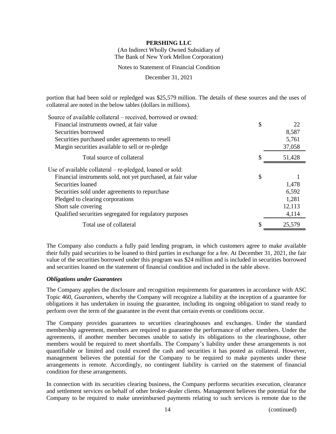(An Indirect Wholly Owned Subsidiary of The Bank of New York Mellon Corporation)

Notes to Statement of Financial Condition

December 31, 2021

portion that had been sold or repledged was \$25,579 million. The details of these sources and the uses of collateral are noted in the below tables (dollars in millions).

| Source of available collateral – received, borrowed or owned: |          |
|---------------------------------------------------------------|----------|
| Financial instruments owned, at fair value                    | \$<br>22 |
| Securities borrowed                                           | 8,587    |
| Securities purchased under agreements to resell               | 5,761    |
| Margin securities available to sell or re-pledge              | 37,058   |
| Total source of collateral                                    | 51,428   |
| Use of available collateral – re-pledged, loaned or sold:     |          |
| Financial instruments sold, not yet purchased, at fair value  | \$       |
| Securities loaned                                             | 1,478    |
| Securities sold under agreements to repurchase                | 6,592    |
| Pledged to clearing corporations                              | 1,281    |
| Short sale covering                                           | 12,113   |
| Qualified securities segregated for regulatory purposes       | 4,114    |
| Total use of collateral                                       | 25,579   |

The Company also conducts a fully paid lending program, in which customers agree to make available their fully paid securities to be loaned to third parties in exchange for a fee. At December 31, 2021, the fair value of the securities borrowed under this program was \$24 million and is included in securities borrowed and securities loaned on the statement of financial condition and included in the table above.

### *Obligations under Guarantees*

The Company applies the disclosure and recognition requirements for guarantees in accordance with ASC Topic 460, *Guarantees*, whereby the Company will recognize a liability at the inception of a guarantee for obligations it has undertaken in issuing the guarantee, including its ongoing obligation to stand ready to perform over the term of the guarantee in the event that certain events or conditions occur.

The Company provides guarantees to securities clearinghouses and exchanges. Under the standard membership agreement, members are required to guarantee the performance of other members. Under the agreements, if another member becomes unable to satisfy its obligations to the clearinghouse, other members would be required to meet shortfalls. The Company's liability under these arrangements is not quantifiable or limited and could exceed the cash and securities it has posted as collateral. However, management believes the potential for the Company to be required to make payments under these arrangements is remote. Accordingly, no contingent liability is carried on the statement of financial condition for these arrangements.

In connection with its securities clearing business, the Company performs securities execution, clearance and settlement services on behalf of other broker-dealer clients. Management believes the potential for the Company to be required to make unreimbursed payments relating to such services is remote due to the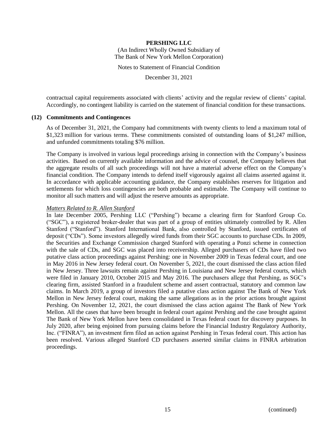(An Indirect Wholly Owned Subsidiary of The Bank of New York Mellon Corporation)

Notes to Statement of Financial Condition

December 31, 2021

contractual capital requirements associated with clients' activity and the regular review of clients' capital. Accordingly, no contingent liability is carried on the statement of financial condition for these transactions.

### **(12) Commitments and Contingences**

As of December 31, 2021, the Company had commitments with twenty clients to lend a maximum total of \$1,323 million for various terms. These commitments consisted of outstanding loans of \$1,247 million, and unfunded commitments totaling \$76 million.

The Company is involved in various legal proceedings arising in connection with the Company's business activities. Based on currently available information and the advice of counsel, the Company believes that the aggregate results of all such proceedings will not have a material adverse effect on the Company's financial condition. The Company intends to defend itself vigorously against all claims asserted against it. In accordance with applicable accounting guidance, the Company establishes reserves for litigation and settlements for which loss contingencies are both probable and estimable. The Company will continue to monitor all such matters and will adjust the reserve amounts as appropriate.

### *Matters Related to R. Allen Stanford*

In late December 2005, Pershing LLC ("Pershing") became a clearing firm for Stanford Group Co. ("SGC"), a registered broker-dealer that was part of a group of entities ultimately controlled by R. Allen Stanford ("Stanford"). Stanford International Bank, also controlled by Stanford, issued certificates of deposit ("CDs"). Some investors allegedly wired funds from their SGC accounts to purchase CDs. In 2009, the Securities and Exchange Commission charged Stanford with operating a Ponzi scheme in connection with the sale of CDs, and SGC was placed into receivership. Alleged purchasers of CDs have filed two putative class action proceedings against Pershing: one in November 2009 in Texas federal court, and one in May 2016 in New Jersey federal court. On November 5, 2021, the court dismissed the class action filed in New Jersey. Three lawsuits remain against Pershing in Louisiana and New Jersey federal courts, which were filed in January 2010, October 2015 and May 2016. The purchasers allege that Pershing, as SGC's clearing firm, assisted Stanford in a fraudulent scheme and assert contractual, statutory and common law claims. In March 2019, a group of investors filed a putative class action against The Bank of New York Mellon in New Jersey federal court, making the same allegations as in the prior actions brought against Pershing. On November 12, 2021, the court dismissed the class action against The Bank of New York Mellon. All the cases that have been brought in federal court against Pershing and the case brought against The Bank of New York Mellon have been consolidated in Texas federal court for discovery purposes. In July 2020, after being enjoined from pursuing claims before the Financial Industry Regulatory Authority, Inc. ("FINRA"), an investment firm filed an action against Pershing in Texas federal court. This action has been resolved. Various alleged Stanford CD purchasers asserted similar claims in FINRA arbitration proceedings.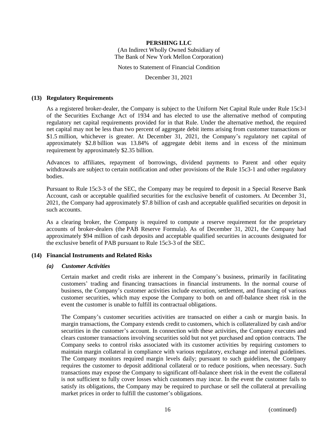(An Indirect Wholly Owned Subsidiary of The Bank of New York Mellon Corporation)

Notes to Statement of Financial Condition

December 31, 2021

### **(13) Regulatory Requirements**

As a registered broker-dealer, the Company is subject to the Uniform Net Capital Rule under Rule 15c3-l of the Securities Exchange Act of 1934 and has elected to use the alternative method of computing regulatory net capital requirements provided for in that Rule. Under the alternative method, the required net capital may not be less than two percent of aggregate debit items arising from customer transactions or \$1.5 million, whichever is greater. At December 31, 2021, the Company's regulatory net capital of approximately \$2.8 billion was 13.84% of aggregate debit items and in excess of the minimum requirement by approximately \$2.35 billion.

Advances to affiliates, repayment of borrowings, dividend payments to Parent and other equity withdrawals are subject to certain notification and other provisions of the Rule 15c3-1 and other regulatory bodies.

Pursuant to Rule 15c3-3 of the SEC, the Company may be required to deposit in a Special Reserve Bank Account, cash or acceptable qualified securities for the exclusive benefit of customers. At December 31, 2021, the Company had approximately \$7.8 billion of cash and acceptable qualified securities on deposit in such accounts.

As a clearing broker, the Company is required to compute a reserve requirement for the proprietary accounts of broker-dealers (the PAB Reserve Formula). As of December 31, 2021, the Company had approximately \$94 million of cash deposits and acceptable qualified securities in accounts designated for the exclusive benefit of PAB pursuant to Rule 15c3-3 of the SEC.

### **(14) Financial Instruments and Related Risks**

### *(a) Customer Activities*

Certain market and credit risks are inherent in the Company's business, primarily in facilitating customers' trading and financing transactions in financial instruments. In the normal course of business, the Company's customer activities include execution, settlement, and financing of various customer securities, which may expose the Company to both on and off-balance sheet risk in the event the customer is unable to fulfill its contractual obligations.

The Company's customer securities activities are transacted on either a cash or margin basis. In margin transactions, the Company extends credit to customers, which is collateralized by cash and/or securities in the customer's account. In connection with these activities, the Company executes and clears customer transactions involving securities sold but not yet purchased and option contracts. The Company seeks to control risks associated with its customer activities by requiring customers to maintain margin collateral in compliance with various regulatory, exchange and internal guidelines. The Company monitors required margin levels daily; pursuant to such guidelines, the Company requires the customer to deposit additional collateral or to reduce positions, when necessary. Such transactions may expose the Company to significant off-balance sheet risk in the event the collateral is not sufficient to fully cover losses which customers may incur. In the event the customer fails to satisfy its obligations, the Company may be required to purchase or sell the collateral at prevailing market prices in order to fulfill the customer's obligations.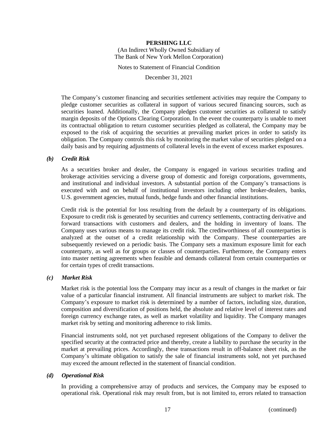### **PERSHING LLC** (An Indirect Wholly Owned Subsidiary of The Bank of New York Mellon Corporation)

Notes to Statement of Financial Condition

December 31, 2021

The Company's customer financing and securities settlement activities may require the Company to pledge customer securities as collateral in support of various secured financing sources, such as securities loaned. Additionally, the Company pledges customer securities as collateral to satisfy margin deposits of the Options Clearing Corporation. In the event the counterparty is unable to meet its contractual obligation to return customer securities pledged as collateral, the Company may be exposed to the risk of acquiring the securities at prevailing market prices in order to satisfy its obligation. The Company controls this risk by monitoring the market value of securities pledged on a daily basis and by requiring adjustments of collateral levels in the event of excess market exposures.

### *(b) Credit Risk*

As a securities broker and dealer, the Company is engaged in various securities trading and brokerage activities servicing a diverse group of domestic and foreign corporations, governments, and institutional and individual investors. A substantial portion of the Company's transactions is executed with and on behalf of institutional investors including other broker-dealers, banks, U.S. government agencies, mutual funds, hedge funds and other financial institutions.

Credit risk is the potential for loss resulting from the default by a counterparty of its obligations. Exposure to credit risk is generated by securities and currency settlements, contracting derivative and forward transactions with customers and dealers, and the holding in inventory of loans. The Company uses various means to manage its credit risk. The creditworthiness of all counterparties is analyzed at the outset of a credit relationship with the Company. These counterparties are subsequently reviewed on a periodic basis. The Company sets a maximum exposure limit for each counterparty, as well as for groups or classes of counterparties. Furthermore, the Company enters into master netting agreements when feasible and demands collateral from certain counterparties or for certain types of credit transactions.

### *(c) Market Risk*

Market risk is the potential loss the Company may incur as a result of changes in the market or fair value of a particular financial instrument. All financial instruments are subject to market risk. The Company's exposure to market risk is determined by a number of factors, including size, duration, composition and diversification of positions held, the absolute and relative level of interest rates and foreign currency exchange rates, as well as market volatility and liquidity. The Company manages market risk by setting and monitoring adherence to risk limits.

Financial instruments sold, not yet purchased represent obligations of the Company to deliver the specified security at the contracted price and thereby, create a liability to purchase the security in the market at prevailing prices. Accordingly, these transactions result in off-balance sheet risk, as the Company's ultimate obligation to satisfy the sale of financial instruments sold, not yet purchased may exceed the amount reflected in the statement of financial condition.

### *(d) Operational Risk*

In providing a comprehensive array of products and services, the Company may be exposed to operational risk. Operational risk may result from, but is not limited to, errors related to transaction